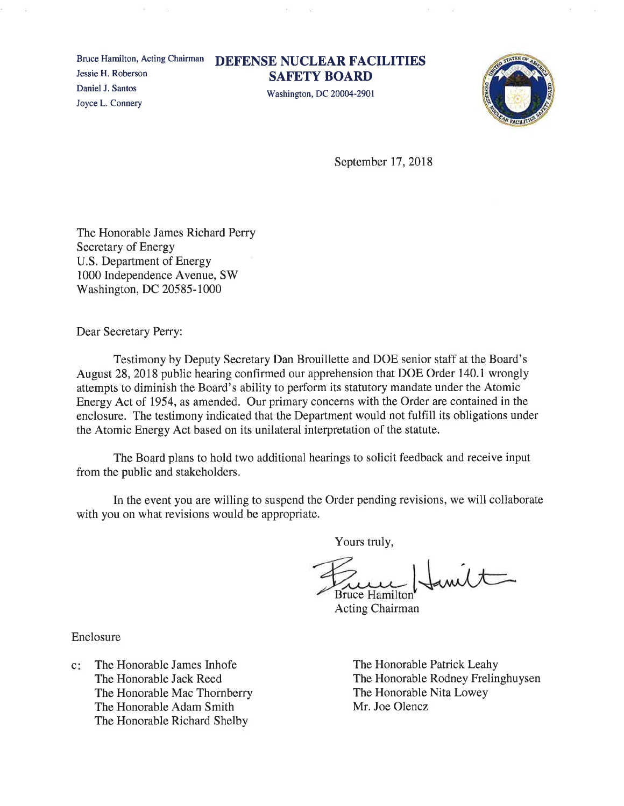Bruce Hamilton, Acting Chairman Jessie H. Roberson Daniel J. Santos Joyce L. Connery

## **DEFENSE NUCLEAR FACILITIES SAFETY BOARD**

Washington, DC 20004-2901



September 17, 2018

The Honorable James Richard Perry Secretary of Energy U.S. Department of Energy 1000 Independence Avenue, SW Washington, DC 20585-1000

Dear Secretary Perry:

Testimony by Deputy Secretary Dan Brouillette and DOE senior staff at the Board's August 28, 2018 public hearing confirmed our apprehension that DOE Order 140.1 wrongly attempts to diminish the Board's ability to perform its statutory mandate under the Atomic Energy Act of 1954, as amended. Our primary concerns with the Order are contained in the enclosure. The testimony indicated that the Department would not fulfill its obligations under the Atomic Energy Act based on its unilateral interpretation of the statute.

The Board plans to hold two additional hearings to solicit feedback and receive input from the public and stakeholders.

In the event you are willing to suspend the Order pending revisions, we will collaborate with you on what revisions would be appropriate.

Yours truly,

**Bruce Hamilton** 

**Acting Chairman** 

Enclosure

The Honorable James Inhofe  $\mathbf{c}$ : The Honorable Jack Reed The Honorable Mac Thornberry The Honorable Adam Smith The Honorable Richard Shelby

The Honorable Patrick Leahy The Honorable Rodney Frelinghuysen The Honorable Nita Lowey Mr. Joe Olencz